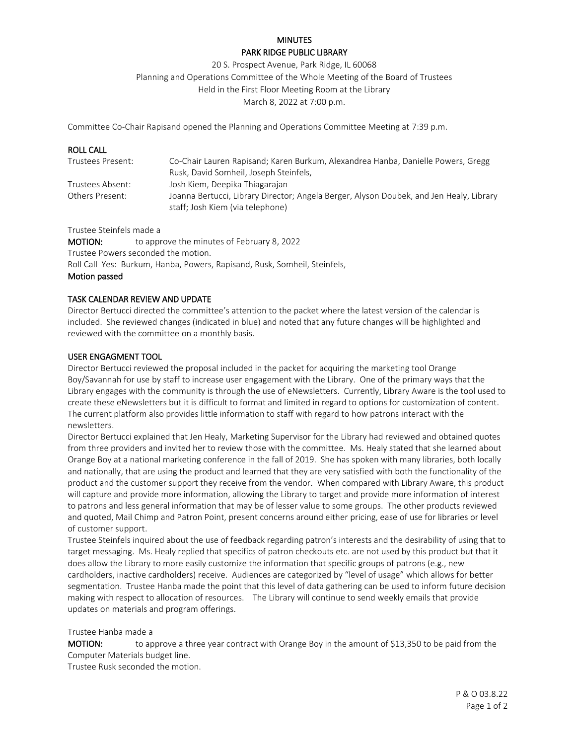# **MINUTES** PARK RIDGE PUBLIC LIBRARY

20 S. Prospect Avenue, Park Ridge, IL 60068 Planning and Operations Committee of the Whole Meeting of the Board of Trustees Held in the First Floor Meeting Room at the Library March 8, 2022 at 7:00 p.m.

Committee Co-Chair Rapisand opened the Planning and Operations Committee Meeting at 7:39 p.m.

| <b>ROLL CALL</b>  |                                                                                                                             |
|-------------------|-----------------------------------------------------------------------------------------------------------------------------|
| Trustees Present: | Co-Chair Lauren Rapisand; Karen Burkum, Alexandrea Hanba, Danielle Powers, Gregg                                            |
|                   | Rusk, David Somheil, Joseph Steinfels,                                                                                      |
| Trustees Absent:  | Josh Kiem, Deepika Thiagarajan                                                                                              |
| Others Present:   | Joanna Bertucci, Library Director; Angela Berger, Alyson Doubek, and Jen Healy, Library<br>staff; Josh Kiem (via telephone) |

Trustee Steinfels made a

MOTION: to approve the minutes of February 8, 2022 Trustee Powers seconded the motion. Roll Call Yes: Burkum, Hanba, Powers, Rapisand, Rusk, Somheil, Steinfels, Motion passed

# TASK CALENDAR REVIEW AND UPDATE

Director Bertucci directed the committee's attention to the packet where the latest version of the calendar is included. She reviewed changes (indicated in blue) and noted that any future changes will be highlighted and reviewed with the committee on a monthly basis.

## USER ENGAGMENT TOOL

Director Bertucci reviewed the proposal included in the packet for acquiring the marketing tool Orange Boy/Savannah for use by staff to increase user engagement with the Library. One of the primary ways that the Library engages with the community is through the use of eNewsletters. Currently, Library Aware is the tool used to create these eNewsletters but it is difficult to format and limited in regard to options for customization of content. The current platform also provides little information to staff with regard to how patrons interact with the newsletters.

Director Bertucci explained that Jen Healy, Marketing Supervisor for the Library had reviewed and obtained quotes from three providers and invited her to review those with the committee. Ms. Healy stated that she learned about Orange Boy at a national marketing conference in the fall of 2019. She has spoken with many libraries, both locally and nationally, that are using the product and learned that they are very satisfied with both the functionality of the product and the customer support they receive from the vendor. When compared with Library Aware, this product will capture and provide more information, allowing the Library to target and provide more information of interest to patrons and less general information that may be of lesser value to some groups. The other products reviewed and quoted, Mail Chimp and Patron Point, present concerns around either pricing, ease of use for libraries or level of customer support.

Trustee Steinfels inquired about the use of feedback regarding patron's interests and the desirability of using that to target messaging. Ms. Healy replied that specifics of patron checkouts etc. are not used by this product but that it does allow the Library to more easily customize the information that specific groups of patrons (e.g., new cardholders, inactive cardholders) receive. Audiences are categorized by "level of usage" which allows for better segmentation. Trustee Hanba made the point that this level of data gathering can be used to inform future decision making with respect to allocation of resources. The Library will continue to send weekly emails that provide updates on materials and program offerings.

## Trustee Hanba made a

MOTION: to approve a three year contract with Orange Boy in the amount of \$13,350 to be paid from the Computer Materials budget line.

Trustee Rusk seconded the motion.